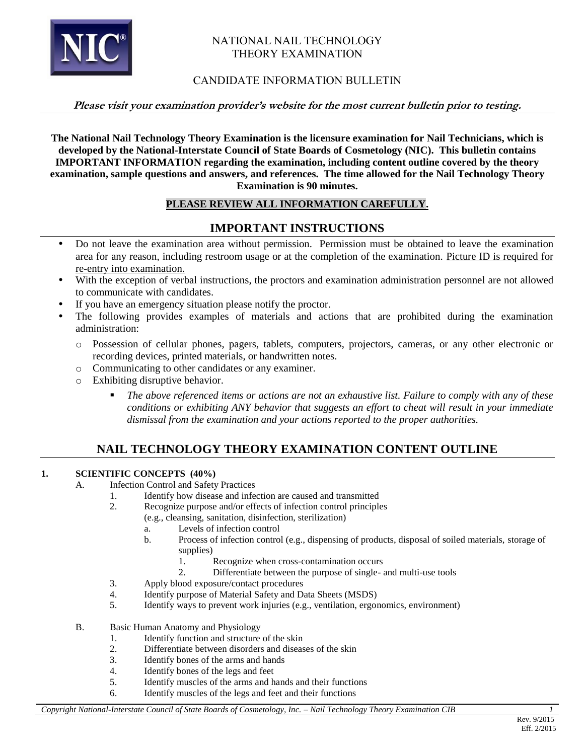

## NATIONAL NAIL TECHNOLOGY THEORY EXAMINATION

## CANDIDATE INFORMATION BULLETIN

### **Please visit your examination provider's website for the most current bulletin prior to testing.**

**The National Nail Technology Theory Examination is the licensure examination for Nail Technicians, which is developed by the National-Interstate Council of State Boards of Cosmetology (NIC). This bulletin contains IMPORTANT INFORMATION regarding the examination, including content outline covered by the theory examination, sample questions and answers, and references. The time allowed for the Nail Technology Theory Examination is 90 minutes.** 

## **PLEASE REVIEW ALL INFORMATION CAREFULLY.**

## **IMPORTANT INSTRUCTIONS**

- Do not leave the examination area without permission. Permission must be obtained to leave the examination area for any reason, including restroom usage or at the completion of the examination. Picture ID is required for re-entry into examination.
- With the exception of verbal instructions, the proctors and examination administration personnel are not allowed to communicate with candidates.
- If you have an emergency situation please notify the proctor.
- The following provides examples of materials and actions that are prohibited during the examination administration:
	- o Possession of cellular phones, pagers, tablets, computers, projectors, cameras, or any other electronic or recording devices, printed materials, or handwritten notes.
	- o Communicating to other candidates or any examiner.
	- o Exhibiting disruptive behavior.
		- *The above referenced items or actions are not an exhaustive list. Failure to comply with any of these conditions or exhibiting ANY behavior that suggests an effort to cheat will result in your immediate dismissal from the examination and your actions reported to the proper authorities.*

# **NAIL TECHNOLOGY THEORY EXAMINATION CONTENT OUTLINE**

## **1. SCIENTIFIC CONCEPTS (40%)**

- A. Infection Control and Safety Practices
	- 1. Identify how disease and infection are caused and transmitted
	- 2. Recognize purpose and/or effects of infection control principles
		- (e.g., cleansing, sanitation, disinfection, sterilization)
		- a. Levels of infection control
		- b. Process of infection control (e.g., dispensing of products, disposal of soiled materials, storage of supplies)
			- 1. Recognize when cross-contamination occurs
			- 2. Differentiate between the purpose of single- and multi-use tools
	- 3. Apply blood exposure/contact procedures
	- 4. Identify purpose of Material Safety and Data Sheets (MSDS)
	- 5. Identify ways to prevent work injuries (e.g., ventilation, ergonomics, environment)
- B. Basic Human Anatomy and Physiology
	- 1. Identify function and structure of the skin
	- 2. Differentiate between disorders and diseases of the skin
	- 3. Identify bones of the arms and hands
	- 4. Identify bones of the legs and feet
	- 5. Identify muscles of the arms and hands and their functions
	- 6. Identify muscles of the legs and feet and their functions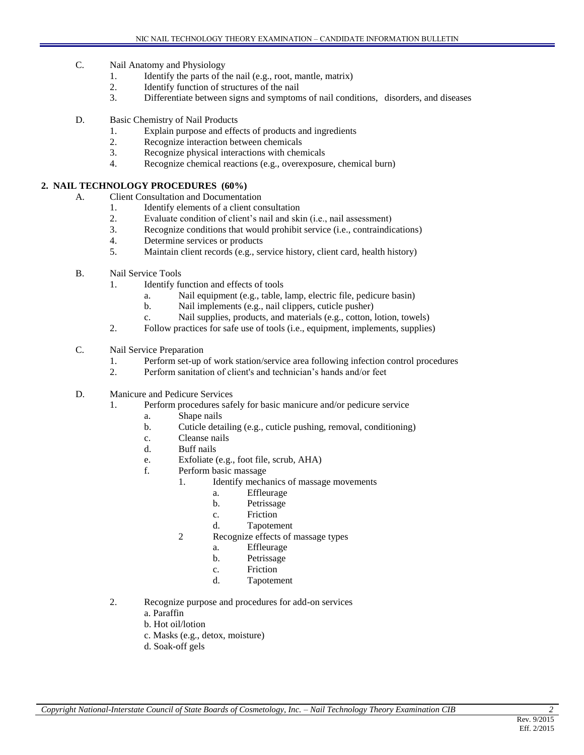- C. Nail Anatomy and Physiology
	- 1. Identify the parts of the nail (e.g., root, mantle, matrix)
	- 2. Identify function of structures of the nail
	- 3. Differentiate between signs and symptoms of nail conditions, disorders, and diseases
- D. Basic Chemistry of Nail Products
	- 1. Explain purpose and effects of products and ingredients
	- 2. Recognize interaction between chemicals
	- 3. Recognize physical interactions with chemicals
	- 4. Recognize chemical reactions (e.g., overexposure, chemical burn)

### **2. NAIL TECHNOLOGY PROCEDURES (60%)**

- A. Client Consultation and Documentation
	- 1. Identify elements of a client consultation
	- 2. Evaluate condition of client's nail and skin (i.e., nail assessment)
	- 3. Recognize conditions that would prohibit service (i.e., contraindications)
	- 4. Determine services or products
	- 5. Maintain client records (e.g., service history, client card, health history)
- B. Nail Service Tools
	- 1. Identify function and effects of tools
		- a. Nail equipment (e.g., table, lamp, electric file, pedicure basin)
		- b. Nail implements (e.g., nail clippers, cuticle pusher)
		- c. Nail supplies, products, and materials (e.g., cotton, lotion, towels)
	- 2. Follow practices for safe use of tools (i.e., equipment, implements, supplies)
- C. Nail Service Preparation
	- 1. Perform set-up of work station/service area following infection control procedures
	- 2. Perform sanitation of client's and technician's hands and/or feet
- D. Manicure and Pedicure Services
	- 1. Perform procedures safely for basic manicure and/or pedicure service
		- a. Shape nails
		- b. Cuticle detailing (e.g., cuticle pushing, removal, conditioning)
		- c. Cleanse nails
		- d. Buff nails
		- e. Exfoliate (e.g., foot file, scrub, AHA)
		- f. Perform basic massage
			- 1. Identify mechanics of massage movements
				- a. Effleurage
				- b. Petrissage
				- c. Friction
				- d. Tapotement
			- 2 Recognize effects of massage types
				- a. Effleurage
				- b. Petrissage
				- c. Friction
				- d. Tapotement
	- 2. Recognize purpose and procedures for add-on services
		- a. Paraffin
		- b. Hot oil/lotion
		- c. Masks (e.g., detox, moisture)
		- d. Soak-off gels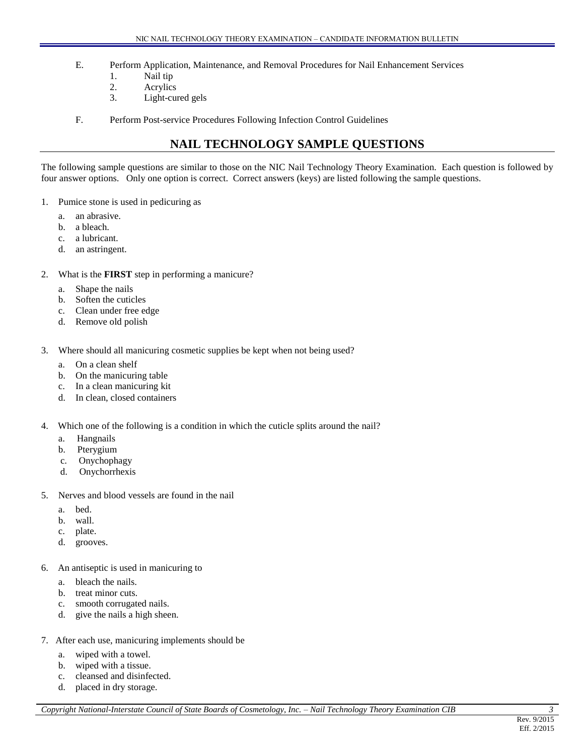- E. Perform Application, Maintenance, and Removal Procedures for Nail Enhancement Services
	- 1. Nail tip
	- 2. Acrylics
	- 3. Light-cured gels
- F. Perform Post-service Procedures Following Infection Control Guidelines

## **NAIL TECHNOLOGY SAMPLE QUESTIONS**

The following sample questions are similar to those on the NIC Nail Technology Theory Examination. Each question is followed by four answer options. Only one option is correct. Correct answers (keys) are listed following the sample questions.

- 1. Pumice stone is used in pedicuring as
	- a. an abrasive.
	- b. a bleach.
	- c. a lubricant.
	- d. an astringent.
- 2. What is the **FIRST** step in performing a manicure?
	- a. Shape the nails
	- b. Soften the cuticles
	- c. Clean under free edge
	- d. Remove old polish
- 3. Where should all manicuring cosmetic supplies be kept when not being used?
	- a. On a clean shelf
	- b. On the manicuring table
	- c. In a clean manicuring kit
	- d. In clean, closed containers
- 4. Which one of the following is a condition in which the cuticle splits around the nail?
	- a. Hangnails
	- b. Pterygium
	- c. Onychophagy
	- d. Onychorrhexis
- 5. Nerves and blood vessels are found in the nail
	- a. bed.
	- b. wall.
	- c. plate.
	- d. grooves.
- 6. An antiseptic is used in manicuring to
	- a. bleach the nails.
	- b. treat minor cuts.
	- c. smooth corrugated nails.
	- d. give the nails a high sheen.
- 7. After each use, manicuring implements should be
	- a. wiped with a towel.
	- b. wiped with a tissue.
	- c. cleansed and disinfected.
	- d. placed in dry storage.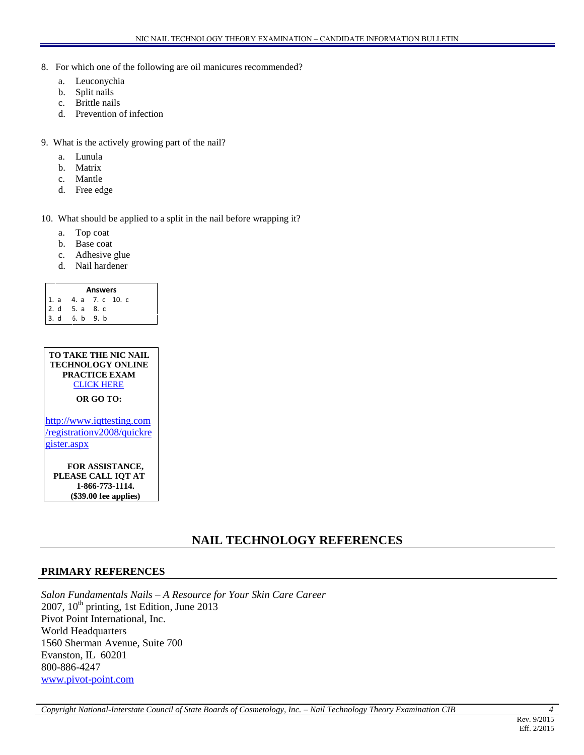- 8. For which one of the following are oil manicures recommended?
	- a. Leuconychia
	- b. Split nails
	- c. Brittle nails
	- d. Prevention of infection
- 9. What is the actively growing part of the nail?
	- a. Lunula
	- b. Matrix
	- c. Mantle
	- d. Free edge

10. What should be applied to a split in the nail before wrapping it?

- a. Top coat
- b. Base coat
- c. Adhesive glue
- d. Nail hardener

#### **Answers** 1. a 4. a 7. c 10. c 2. d 5. a 8. c 3. d 6. b 9. b



**FOR ASSISTANCE, PLEASE CALL IQT AT 1-866-773-1114. (\$39.00 fee applies)**

## **NAIL TECHNOLOGY REFERENCES**

## **PRIMARY REFERENCES**

*Salon Fundamentals Nails – A Resource for Your Skin Care Career* 2007,  $10^{th}$  printing, 1st Edition, June 2013 Pivot Point International, Inc. World Headquarters 1560 Sherman Avenue, Suite 700 Evanston, IL 60201 800-886-4247 [www.pivot-point.com](http://www.pivot-point.com/)